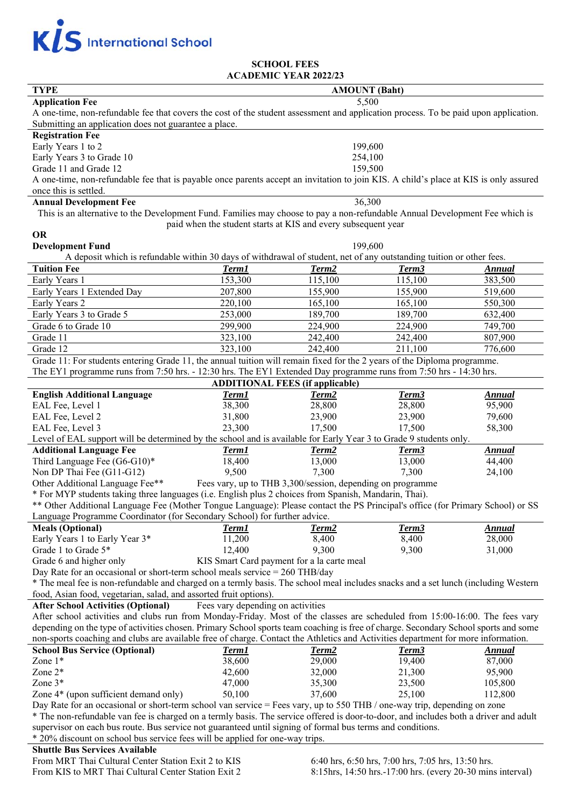

# **SCHOOL FEES ACADEMIC YEAR 2022/23**

| <b>TYPE</b>                                                                                                                          | <b>AMOUNT</b> (Baht)              |                                            |                   |               |
|--------------------------------------------------------------------------------------------------------------------------------------|-----------------------------------|--------------------------------------------|-------------------|---------------|
| 5,500<br><b>Application Fee</b>                                                                                                      |                                   |                                            |                   |               |
| A one-time, non-refundable fee that covers the cost of the student assessment and application process. To be paid upon application.  |                                   |                                            |                   |               |
| Submitting an application does not guarantee a place.                                                                                |                                   |                                            |                   |               |
| <b>Registration Fee</b>                                                                                                              |                                   |                                            |                   |               |
| Early Years 1 to 2                                                                                                                   |                                   | 199,600                                    |                   |               |
| Early Years 3 to Grade 10                                                                                                            | 254,100                           |                                            |                   |               |
| Grade 11 and Grade 12                                                                                                                | 159,500                           |                                            |                   |               |
| A one-time, non-refundable fee that is payable once parents accept an invitation to join KIS. A child's place at KIS is only assured |                                   |                                            |                   |               |
| once this is settled.                                                                                                                |                                   |                                            |                   |               |
| <b>Annual Development Fee</b><br>36,300                                                                                              |                                   |                                            |                   |               |
| This is an alternative to the Development Fund. Families may choose to pay a non-refundable Annual Development Fee which is          |                                   |                                            |                   |               |
| paid when the student starts at KIS and every subsequent year                                                                        |                                   |                                            |                   |               |
| <b>OR</b>                                                                                                                            |                                   |                                            |                   |               |
| 199,600<br><b>Development Fund</b>                                                                                                   |                                   |                                            |                   |               |
| A deposit which is refundable within 30 days of withdrawal of student, net of any outstanding tuition or other fees.                 |                                   |                                            |                   |               |
| <b>Tuition Fee</b>                                                                                                                   | <b>Term1</b>                      | Term <sub>2</sub>                          | Term <sub>3</sub> | <b>Annual</b> |
| Early Years 1                                                                                                                        | 153,300                           | 115,100                                    | 115,100           | 383,500       |
| Early Years 1 Extended Day                                                                                                           | 207,800                           | 155,900                                    | 155,900           | 519,600       |
| Early Years 2                                                                                                                        | 220,100                           | 165,100                                    | 165,100           | 550,300       |
| Early Years 3 to Grade 5                                                                                                             | 253,000                           | 189,700                                    | 189,700           | 632,400       |
| Grade 6 to Grade 10                                                                                                                  | 299,900                           | 224,900                                    | 224,900           | 749,700       |
| Grade 11                                                                                                                             | 323,100                           | 242,400                                    | 242,400           | 807,900       |
| Grade 12                                                                                                                             | 323,100                           | 242,400                                    | 211,100           | 776,600       |
| Grade 11: For students entering Grade 11, the annual tuition will remain fixed for the 2 years of the Diploma programme.             |                                   |                                            |                   |               |
|                                                                                                                                      |                                   |                                            |                   |               |
| The EY1 programme runs from 7:50 hrs. - 12:30 hrs. The EY1 Extended Day programme runs from 7:50 hrs - 14:30 hrs.                    |                                   |                                            |                   |               |
| <b>ADDITIONAL FEES (if applicable)</b>                                                                                               |                                   |                                            |                   |               |
| <b>English Additional Language</b>                                                                                                   | Term1                             | Term <sub>2</sub>                          | Term <sub>3</sub> | <b>Annual</b> |
| EAL Fee, Level 1                                                                                                                     | 38,300                            | 28,800                                     | 28,800            | 95,900        |
| EAL Fee, Level 2                                                                                                                     | 31,800                            | 23,900                                     | 23,900            | 79,600        |
| EAL Fee, Level 3                                                                                                                     | 23,300                            | 17,500                                     | 17,500            | 58,300        |
| Level of EAL support will be determined by the school and is available for Early Year 3 to Grade 9 students only.                    |                                   |                                            |                   |               |
| <b>Additional Language Fee</b>                                                                                                       | Term1                             | Term <sub>2</sub>                          | Term <sub>3</sub> | <b>Annual</b> |
| Third Language Fee (G6-G10)*                                                                                                         | 18,400                            | 13,000                                     | 13,000            | 44,400        |
| Non DP Thai Fee (G11-G12)                                                                                                            | 9,500                             | 7,300                                      | 7,300             | 24,100        |
| Other Additional Language Fee**<br>Fees vary, up to THB 3,300/session, depending on programme                                        |                                   |                                            |                   |               |
| * For MYP students taking three languages (i.e. English plus 2 choices from Spanish, Mandarin, Thai).                                |                                   |                                            |                   |               |
| ** Other Additional Language Fee (Mother Tongue Language): Please contact the PS Principal's office (for Primary School) or SS       |                                   |                                            |                   |               |
| Language Programme Coordinator (for Secondary School) for further advice.                                                            |                                   |                                            |                   |               |
| <b>Meals (Optional)</b>                                                                                                              | Term1                             | Term2                                      | Term <sub>3</sub> | <b>Annual</b> |
| Early Years 1 to Early Year 3*                                                                                                       | 11,200                            | 8,400                                      | 8,400             | 28,000        |
| Grade 1 to Grade 5*                                                                                                                  | 12,400                            | 9,300                                      | 9,300             | 31,000        |
| Grade 6 and higher only                                                                                                              |                                   | KIS Smart Card payment for a la carte meal |                   |               |
| Day Rate for an occasional or short-term school meals service $= 260$ THB/day                                                        |                                   |                                            |                   |               |
| * The meal fee is non-refundable and charged on a termly basis. The school meal includes snacks and a set lunch (including Western   |                                   |                                            |                   |               |
| food, Asian food, vegetarian, salad, and assorted fruit options).                                                                    |                                   |                                            |                   |               |
| <b>After School Activities (Optional)</b>                                                                                            | Fees vary depending on activities |                                            |                   |               |
| After school activities and clubs run from Monday-Friday. Most of the classes are scheduled from 15:00-16:00. The fees vary          |                                   |                                            |                   |               |
| depending on the type of activities chosen. Primary School sports team coaching is free of charge. Secondary School sports and some  |                                   |                                            |                   |               |
| non-sports coaching and clubs are available free of charge. Contact the Athletics and Activities department for more information.    |                                   |                                            |                   |               |
| <b>School Bus Service (Optional)</b>                                                                                                 | Term1                             | Term <sub>2</sub>                          | Term3             | <b>Annual</b> |
| Zone $1*$                                                                                                                            | 38,600                            | 29,000                                     | 19,400            | 87,000        |
| Zone $2^*$                                                                                                                           | 42,600                            | 32,000                                     | 21,300            | 95,900        |
| Zone 3*                                                                                                                              | 47,000                            | 35,300                                     | 23,500            | 105,800       |
| Zone 4* (upon sufficient demand only)                                                                                                | 50,100                            | 37,600                                     | 25,100            | 112,800       |
|                                                                                                                                      |                                   |                                            |                   |               |
| Day Rate for an occasional or short-term school van service = Fees vary, up to 550 THB / one-way trip, depending on zone             |                                   |                                            |                   |               |
| * The non-refundable van fee is charged on a termly basis. The service offered is door-to-door, and includes both a driver and adult |                                   |                                            |                   |               |
| supervisor on each bus route. Bus service not guaranteed until signing of formal bus terms and conditions.                           |                                   |                                            |                   |               |
| * 20% discount on school bus service fees will be applied for one-way trips.                                                         |                                   |                                            |                   |               |
| <b>Shuttle Bus Services Available</b>                                                                                                |                                   |                                            |                   |               |

From MRT Thai Cultural Center Station Exit 2 to KIS From KIS to MRT Thai Cultural Center Station Exit 2

6:40 hrs, 6:50 hrs, 7:00 hrs, 7:05 hrs, 13:50 hrs. 8:15hrs, 14:50 hrs.-17:00 hrs. (every 20-30 mins interval)